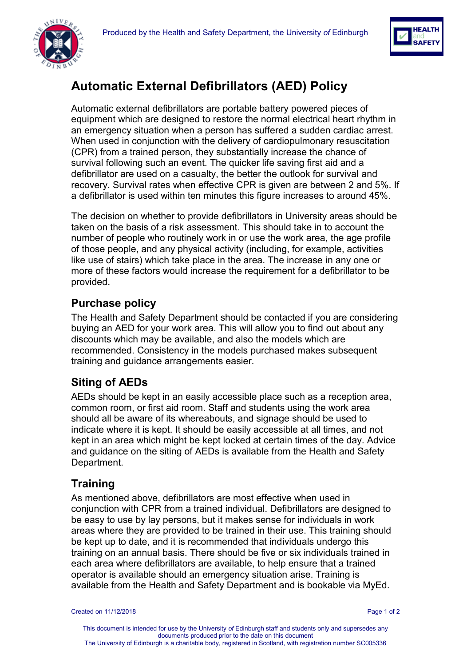



# **Automatic External Defibrillators (AED) Policy**

Automatic external defibrillators are portable battery powered pieces of equipment which are designed to restore the normal electrical heart rhythm in an emergency situation when a person has suffered a sudden cardiac arrest. When used in conjunction with the delivery of cardiopulmonary resuscitation (CPR) from a trained person, they substantially increase the chance of survival following such an event. The quicker life saving first aid and a defibrillator are used on a casualty, the better the outlook for survival and recovery. Survival rates when effective CPR is given are between 2 and 5%. If a defibrillator is used within ten minutes this figure increases to around 45%.

The decision on whether to provide defibrillators in University areas should be taken on the basis of a risk assessment. This should take in to account the number of people who routinely work in or use the work area, the age profile of those people, and any physical activity (including, for example, activities like use of stairs) which take place in the area. The increase in any one or more of these factors would increase the requirement for a defibrillator to be provided.

## **Purchase policy**

The Health and Safety Department should be contacted if you are considering buying an AED for your work area. This will allow you to find out about any discounts which may be available, and also the models which are recommended. Consistency in the models purchased makes subsequent training and guidance arrangements easier.

## **Siting of AEDs**

AEDs should be kept in an easily accessible place such as a reception area, common room, or first aid room. Staff and students using the work area should all be aware of its whereabouts, and signage should be used to indicate where it is kept. It should be easily accessible at all times, and not kept in an area which might be kept locked at certain times of the day. Advice and guidance on the siting of AEDs is available from the Health and Safety Department.

## **Training**

As mentioned above, defibrillators are most effective when used in conjunction with CPR from a trained individual. Defibrillators are designed to be easy to use by lay persons, but it makes sense for individuals in work areas where they are provided to be trained in their use. This training should be kept up to date, and it is recommended that individuals undergo this training on an annual basis. There should be five or six individuals trained in each area where defibrillators are available, to help ensure that a trained operator is available should an emergency situation arise. Training is available from the Health and Safety Department and is bookable via MyEd.